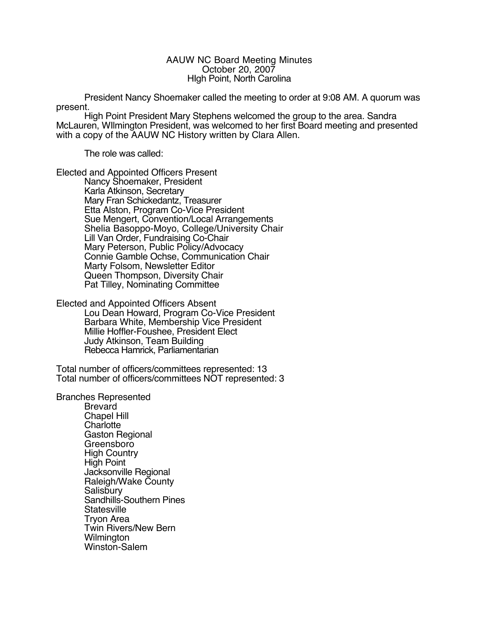## AAUW NC Board Meeting Minutes October 20, 2007 HIgh Point, North Carolina

President Nancy Shoemaker called the meeting to order at 9:08 AM. A quorum was present.

High Point President Mary Stephens welcomed the group to the area. Sandra McLauren, WIlmington President, was welcomed to her first Board meeting and presented with a copy of the AAUW NC History written by Clara Allen.

The role was called:

Elected and Appointed Officers Present

Nancy Shoemaker, President Karla Atkinson, Secretary Mary Fran Schickedantz, Treasurer Etta Alston, Program Co-Vice President Sue Mengert, Convention/Local Arrangements Shelia Basoppo-Moyo, College/University Chair Lill Van Order, Fundraising Co-Chair Mary Peterson, Public Policy/Advocacy Connie Gamble Ochse, Communication Chair Marty Folsom, Newsletter Editor Queen Thompson, Diversity Chair Pat Tilley, Nominating Committee

Elected and Appointed Officers Absent

Lou Dean Howard, Program Co-Vice President Barbara White, Membership Vice President Millie Hoffler-Foushee, President Elect Judy Atkinson, Team Building Rebecca Hamrick, Parliamentarian

Total number of officers/committees represented: 13 Total number of officers/committees NOT represented: 3

Branches Represented

Brevard Chapel Hill **Charlotte** Gaston Regional Greensboro High Country High Point Jacksonville Regional Raleigh/Wake County **Salisbury** Sandhills-Southern Pines **Statesville** Tryon Area Twin Rivers/New Bern **Wilmington** Winston-Salem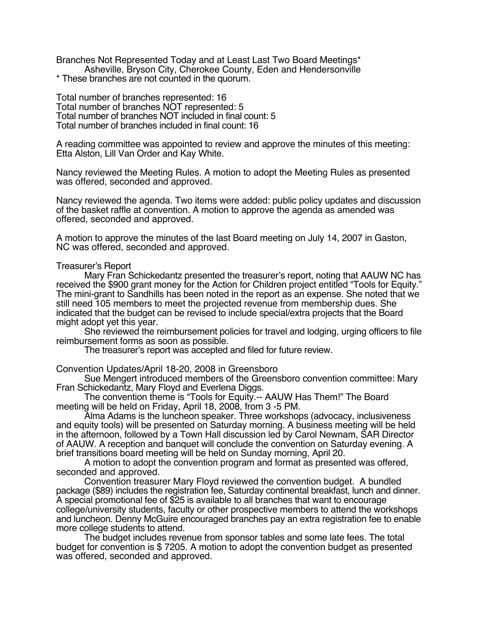Branches Not Represented Today and at Least Last Two Board Meetings\* Asheville, Bryson City, Cherokee County, Eden and Hendersonville \* These branches are not counted in the quorum.

Total number of branches represented: 16 Total number of branches NOT represented: 5 Total number of branches NOT included in final count: 5 Total number of branches included in final count: 16

A reading committee was appointed to review and approve the minutes of this meeting: Etta Alston, Lill Van Order and Kay White.

Nancy reviewed the Meeting Rules. A motion to adopt the Meeting Rules as presented was offered, seconded and approved.

Nancy reviewed the agenda. Two items were added: public policy updates and discussion of the basket raffle at convention. A motion to approve the agenda as amended was offered, seconded and approved.

A motion to approve the minutes of the last Board meeting on July 14, 2007 in Gaston, NC was offered, seconded and approved.

Treasurer's Report

Mary Fran Schickedantz presented the treasurer's report, noting that AAUW NC has received the \$900 grant money for the Action for Children project entitled "Tools for Equity." The mini-grant to Sandhills has been noted in the report as an expense. She noted that we still need 105 members to meet the projected revenue from membership dues. She indicated that the budget can be revised to include special/extra projects that the Board might adopt yet this year.

She reviewed the reimbursement policies for travel and lodging, urging officers to file reimbursement forms as soon as possible.

The treasurer's report was accepted and filed for future review.

Convention Updates/April 18-20, 2008 in Greensboro

Sue Mengert introduced members of the Greensboro convention committee: Mary Fran Schickedantz, Mary Floyd and Everlena Diggs.

The convention theme is "Tools for Equity.-- AAUW Has Them!" The Board meeting will be held on Friday, April 18, 2008, from 3 -5 PM.

Alma Adams is the luncheon speaker. Three workshops (advocacy, inclusiveness and equity tools) will be presented on Saturday morning. A business meeting will be held in the afternoon, followed by a Town Hall discussion led by Carol Newnam, SAR Director of AAUW. A reception and banquet will conclude the convention on Saturday evening. A brief transitions board meeting will be held on Sunday morning, April 20.

A motion to adopt the convention program and format as presented was offered, seconded and approved.

Convention treasurer Mary Floyd reviewed the convention budget. A bundled package (\$89) includes the registration fee, Saturday continental breakfast, lunch and dinner. A special promotional fee of \$25 is available to all branches that want to encourage college/university students, faculty or other prospective members to attend the workshops and luncheon. Denny McGuire encouraged branches pay an extra registration fee to enable more college students to attend.

The budget includes revenue from sponsor tables and some late fees. The total budget for convention is \$ 7205. A motion to adopt the convention budget as presented was offered, seconded and approved.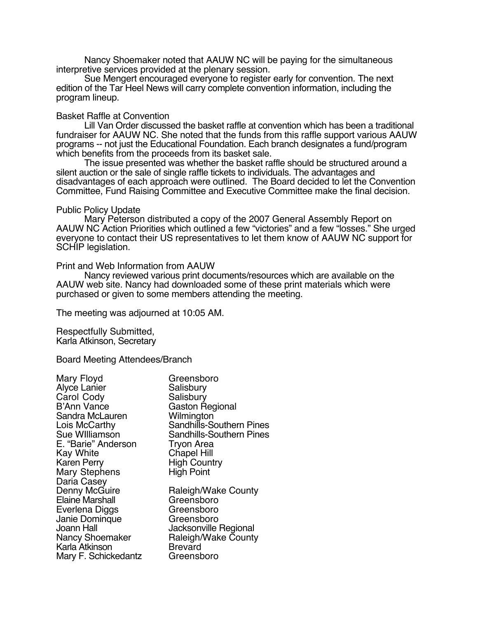Nancy Shoemaker noted that AAUW NC will be paying for the simultaneous interpretive services provided at the plenary session.

Sue Mengert encouraged everyone to register early for convention. The next edition of the Tar Heel News will carry complete convention information, including the program lineup.

## Basket Raffle at Convention

Lill Van Order discussed the basket raffle at convention which has been a traditional fundraiser for AAUW NC. She noted that the funds from this raffle support various AAUW programs -- not just the Educational Foundation. Each branch designates a fund/program which benefits from the proceeds from its basket sale.

The issue presented was whether the basket raffle should be structured around a silent auction or the sale of single raffle tickets to individuals. The advantages and disadvantages of each approach were outlined. The Board decided to let the Convention Committee, Fund Raising Committee and Executive Committee make the final decision.

## Public Policy Update

Mary Peterson distributed a copy of the 2007 General Assembly Report on AAUW NC Action Priorities which outlined a few "victories" and a few "losses." She urged everyone to contact their US representatives to let them know of AAUW NC support for SCHIP legislation.

## Print and Web Information from AAUW

Nancy reviewed various print documents/resources which are available on the AAUW web site. Nancy had downloaded some of these print materials which were purchased or given to some members attending the meeting.

The meeting was adjourned at 10:05 AM.

Respectfully Submitted, Karla Atkinson, Secretary

Board Meeting Attendees/Branch

| Mary Floyd             | Greensboro                      |
|------------------------|---------------------------------|
| <b>Alyce Lanier</b>    | Salisbury                       |
| Carol Cody             | Salisbury                       |
| <b>B'Ann Vance</b>     | <b>Gaston Regional</b>          |
| Sandra McLauren        | Wilmington                      |
| Lois McCarthy          | Sandhills-Southern Pines        |
| Sue Williamson         | <b>Sandhills-Southern Pines</b> |
| E. "Barie" Anderson    | <b>Tryon Area</b>               |
| Kay White              | <b>Chapel Hill</b>              |
| <b>Karen Perry</b>     | <b>High Country</b>             |
| <b>Mary Stephens</b>   | <b>High Point</b>               |
| Daria Casey            |                                 |
| Denny McGuire          | Raleigh/Wake County             |
| <b>Elaine Marshall</b> | Greensboro                      |
| Everlena Diggs         | Greensboro                      |
| Janie Dominque         | Greensboro                      |
| <b>Joann Hall</b>      | Jacksonville Regional           |
| <b>Nancy Shoemaker</b> | Raleigh/Wake County             |
| Karla Atkinson         | Brevard                         |
| Mary F. Schickedantz   | Greensboro                      |
|                        |                                 |